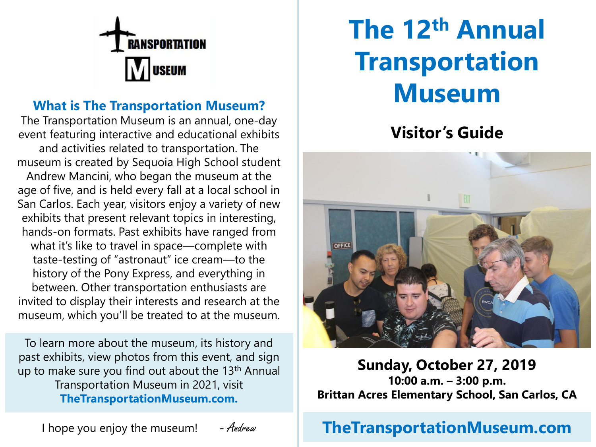

#### **What is The Transportation Museum?**

The Transportation Museum is an annual, one-day event featuring interactive and educational exhibits and activities related to transportation. The museum is created by Sequoia High School student Andrew Mancini, who began the museum at the age of five, and is held every fall at a local school in San Carlos. Each year, visitors enjoy a variety of new exhibits that present relevant topics in interesting, hands-on formats. Past exhibits have ranged from what it's like to travel in space—complete with taste-testing of "astronaut" ice cream—to the history of the Pony Express, and everything in between. Other transportation enthusiasts are invited to display their interests and research at the museum, which you'll be treated to at the museum.

To learn more about the museum, its history and past exhibits, view photos from this event, and sign up to make sure you find out about the 13<sup>th</sup> Annual Transportation Museum in 2021, visit **TheTransportationMuseum.com.**

**The 12th Annual Transportation Museum**

# **Visitor's Guide**



**Sunday, October 27, 2019 10:00 a.m. – 3:00 p.m. Brittan Acres Elementary School, San Carlos, CA**

## **TheTransportationMuseum.com**

I hope you enjoy the museum!  $-$  Andrew